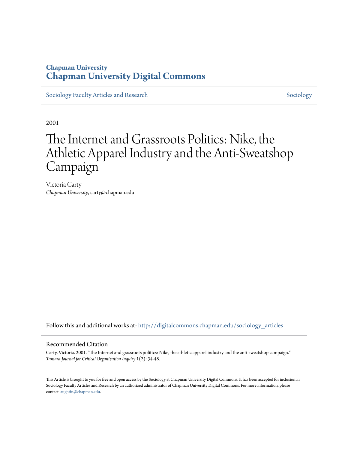## **Chapman University [Chapman University Digital Commons](http://digitalcommons.chapman.edu?utm_source=digitalcommons.chapman.edu%2Fsociology_articles%2F5&utm_medium=PDF&utm_campaign=PDFCoverPages)**

[Sociology Faculty Articles and Research](http://digitalcommons.chapman.edu/sociology_articles?utm_source=digitalcommons.chapman.edu%2Fsociology_articles%2F5&utm_medium=PDF&utm_campaign=PDFCoverPages) [Sociology](http://digitalcommons.chapman.edu/sociology?utm_source=digitalcommons.chapman.edu%2Fsociology_articles%2F5&utm_medium=PDF&utm_campaign=PDFCoverPages) Sociology

2001

# The Internet and Grassroots Politics: Nike, the Athletic Apparel Industry and the Anti-Sweatshop Campaign

Victoria Carty *Chapman University*, carty@chapman.edu

Follow this and additional works at: [http://digitalcommons.chapman.edu/sociology\\_articles](http://digitalcommons.chapman.edu/sociology_articles?utm_source=digitalcommons.chapman.edu%2Fsociology_articles%2F5&utm_medium=PDF&utm_campaign=PDFCoverPages)

#### Recommended Citation

Carty, Victoria. 2001. "The Internet and grassroots politics: Nike, the athletic apparel industry and the anti-sweatshop campaign." *Tamara Journal for Critical Organization Inquiry* 1(2): 34-48.

This Article is brought to you for free and open access by the Sociology at Chapman University Digital Commons. It has been accepted for inclusion in Sociology Faculty Articles and Research by an authorized administrator of Chapman University Digital Commons. For more information, please contact [laughtin@chapman.edu](mailto:laughtin@chapman.edu).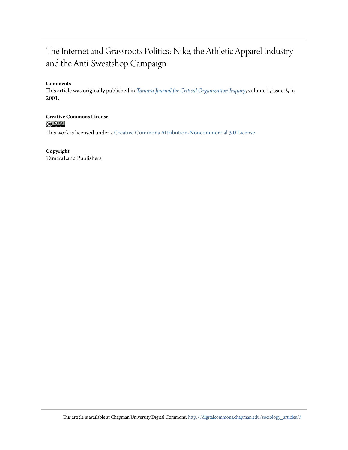## The Internet and Grassroots Politics: Nike, the Athletic Apparel Industry and the Anti-Sweatshop Campaign

#### **Comments**

This article was originally published in *[Tamara Journal for Critical Organization Inquiry](http://tamarajournal.com/)*, volume 1, issue 2, in 2001.

**Creative Commons License**<br> **C C C C** 

This work is licensed under a [Creative Commons Attribution-Noncommercial 3.0 License](http://creativecommons.org/licenses/by-nc/3.0/)

#### **Copyright**

TamaraLand Publishers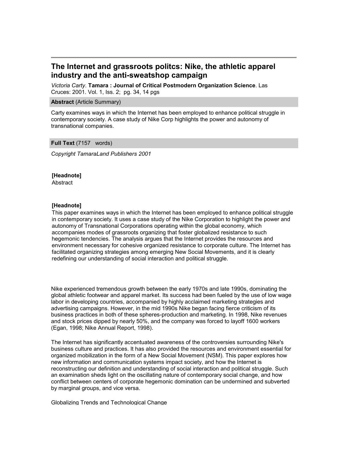### **The Internet and grassroots politcs: Nike, the athletic apparel industry and the anti-sweatshop campaign**

*Victoria Carty*. **Tamara : Journal of Critical Postmodern Organization Science**. Las Cruces: 2001. Vol. 1, Iss. 2; pg. 34, 14 pgs

#### **Abstract** (Article Summary)

Carty examines ways in which the Internet has been employed to enhance political struggle in contemporary society. A case study of Nike Corp highlights the power and autonomy of transnational companies.

#### **Full Text** (7157 words)

*Copyright TamaraLand Publishers 2001*

#### **[Headnote]**

Abstract

#### **[Headnote]**

This paper examines ways in which the Internet has been employed to enhance political struggle in contemporary society. It uses a case study of the Nike Corporation to highlight the power and autonomy of Transnational Corporations operating within the global economy, which accompanies modes of grassroots organizing that foster globalized resistance to such hegemonic tendencies. The analysis argues that the Internet provides the resources and environment necessary for cohesive organized resistance to corporate culture. The Internet has facilitated organizing strategies among emerging New Social Movements, and it is clearly redefining our understanding of social interaction and political struggle.

Nike experienced tremendous growth between the early 1970s and late 1990s, dominating the global athletic footwear and apparel market. Its success had been fueled by the use of low wage labor in developing countries, accompanied by highly acclaimed marketing strategies and advertising campaigns. However, in the mid 1990s Nike began facing fierce criticism of its business practices in both of these spheres-production and marketing. In 1998, Nike revenues and stock prices dipped by nearly 50%, and the company was forced to layoff 1600 workers (Egan, 1998; Nike Annual Report, 1998).

The Internet has significantly accentuated awareness of the controversies surrounding Nike's business culture and practices. It has also provided the resources and environment essential for organized mobilization in the form of a New Social Movement (NSM). This paper explores how new information and communication systems impact society, and how the Internet is reconstructing our definition and understanding of social interaction and political struggle. Such an examination sheds light on the oscillating nature of contemporary social change, and how conflict between centers of corporate hegemonic domination can be undermined and subverted by marginal groups, and vice versa.

Globalizing Trends and Technological Change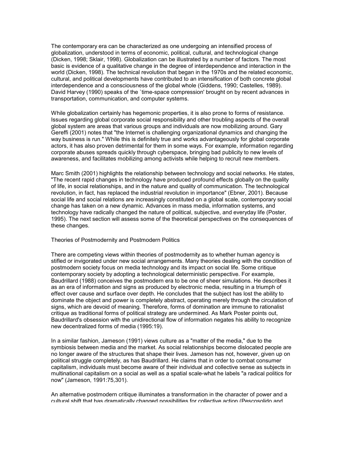The contemporary era can be characterized as one undergoing an intensified process of globalization, understood in terms of economic, political, cultural, and technological change (Dicken, 1998; Sklair, 1998). Globalization can be illustrated by a number of factors. The most basic is evidence of a qualitative change in the degree of interdependence and interaction in the world (Dicken, 1998). The technical revolution that began in the 1970s and the related economic, cultural, and political developments have contributed to an intensification of both concrete global interdependence and a consciousness of the global whole (Giddens, 1990; Castelles, 1989). David Harvey (1990) speaks of the `time-space compression' brought on by recent advances in transportation, communication, and computer systems.

While globalization certainly has hegemonic properties, it is also prone to forms of resistance. Issues regarding global corporate social responsibility and other troubling aspects of the overall global system are areas that various groups and individuals are now mobilizing around. Gary Gereffi (2001) notes that "the Internet is challenging organizational dynamics and changing the way business is run." While this is definitely true and works advantageously for global corporate actors, it has also proven detrimental for them in some ways. For example, information regarding corporate abuses spreads quickly through cyberspace, bringing bad publicity to new levels of awareness, and facilitates mobilizing among activists while helping to recruit new members.

Marc Smith (2001) highlights the relationship between technology and social networks. He states, "The recent rapid changes in technology have produced profound effects globally on the quality of life, in social relationships, and in the nature and quality of communication. The technological revolution, in fact, has replaced the industrial revolution in importance" (Ebner, 2001). Because social life and social relations are increasingly constituted on a global scale, contemporary social change has taken on a new dynamic. Advances in mass media, information systems, and technology have radically changed the nature of political, subjective, and everyday life (Poster, 1995). The next section will assess some of the theoretical perspectives on the consequences of these changes.

#### Theories of Postmodernity and Postmodern Politics

There are competing views within theories of postmodernity as to whether human agency is stifled or invigorated under new social arrangements. Many theories dealing with the condition of postmodern society focus on media technology and its impact on social life. Some critique contemporary society by adopting a technological deterministic perspective. For example, Baudrillard (1988) conceives the postmodern era to be one of sheer simulations. He describes it as an era of information and signs as produced by electronic media, resulting in a triumph of effect over cause and surface over depth. He concludes that the subject has lost the ability to dominate the object and power is completely abstract, operating merely through the circulation of signs, which are devoid of meaning. Therefore, forms of domination are immune to rationalist critique as traditional forms of political strategy are undermined. As Mark Poster points out, Baudrillard's obsession with the unidirectional flow of information negates his ability to recognize new decentralized forms of media (1995:19).

In a similar fashion, Jameson (1991) views culture as a "matter of the media," due to the symbiosis between media and the market. As social relationships become dislocated people are no longer aware of the structures that shape their lives. Jameson has not, however, given up on political struggle completely, as has Baudrillard. He claims that in order to combat consumer capitalism, individuals must become aware of their individual and collective sense as subjects in multinational capitalism on a social as well as a spatial scale-what he labels "a radical politics for now" (Jameson, 1991:75,301).

An alternative postmodern critique illuminates a transformation in the character of power and a cultural shift that has dramatically changed possibilities for collective action (Pescosolido and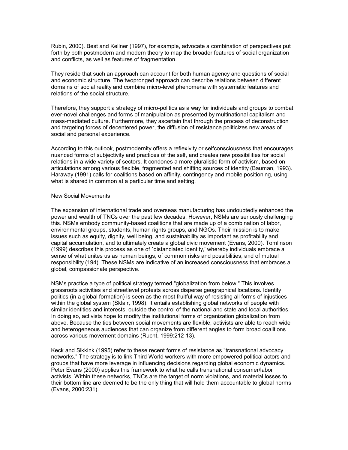Rubin, 2000). Best and Kellner (1997), for example, advocate a combination of perspectives put forth by both postmodern and modern theory to map the broader features of social organization and conflicts, as well as features of fragmentation.

They reside that such an approach can account for both human agency and questions of social and economic structure. The twopronged approach can describe relations between different domains of social reality and combine micro-level phenomena with systematic features and relations of the social structure.

Therefore, they support a strategy of micro-politics as a way for individuals and groups to combat ever-novel challenges and forms of manipulation as presented by multinational capitalism and mass-mediated culture. Furthermore, they ascertain that through the process of deconstruction and targeting forces of decentered power, the diffusion of resistance politicizes new areas of social and personal experience.

According to this outlook, postmodernity offers a reflexivity or selfconsciousness that encourages nuanced forms of subjectivity and practices of the self, and creates new possibilities for social relations in a wide variety of sectors. It condones a more pluralistic form of activism, based on articulations among various flexible, fragmented and shifting sources of identity (Bauman, 1993). Haraway (1991) calls for coalitions based on affinity, contingency and mobile positioning, using what is shared in common at a particular time and setting.

#### New Social Movements

The expansion of international trade and overseas manufacturing has undoubtedly enhanced the power and wealth of TNCs over the past few decades. However, NSMs are seriously challenging this. NSMs embody community-based coalitions that are made up of a combination of labor, environmental groups, students, human rights groups, and NGOs. Their mission is to make issues such as equity, dignity, well being, and sustainability as important as profitability and capital accumulation, and to ultimately create a global civic movement (Evans, 2000). Tomlinson (1999) describes this process as one of `distanciated identity,' whereby individuals embrace a sense of what unites us as human beings, of common risks and possibilities, and of mutual responsibility (194). These NSMs are indicative of an increased consciousness that embraces a global, compassionate perspective.

NSMs practice a type of political strategy termed "globalization from below." This involves grassroots activities and streetlevel protests across disperse geographical locations. Identity politics (in a global formation) is seen as the most fruitful way of resisting all forms of injustices within the global system (Sklair, 1998). It entails establishing global networks of people with similar identities and interests, outside the control of the national and state and local authorities. In doing so, activists hope to modify the institutional forms of organization globalization from above. Because the ties between social movements are flexible, activists are able to reach wide and heterogeneous audiences that can organize from different angles to form broad coalitions across various movement domains (Rucht, 1999:212-13).

Keck and Sikkink (1995) refer to these recent forms of resistance as "transnational advocacy networks." The strategy is to link Third World workers with more empowered political actors and groups that have more leverage in influencing decisions regarding global economic dynamics. Peter Evans (2000) applies this framework to what he calls transnational consumer/labor activists. Within these networks, TNCs are the target of norm violations, and material losses to their bottom line are deemed to be the only thing that will hold them accountable to global norms (Evans, 2000:231).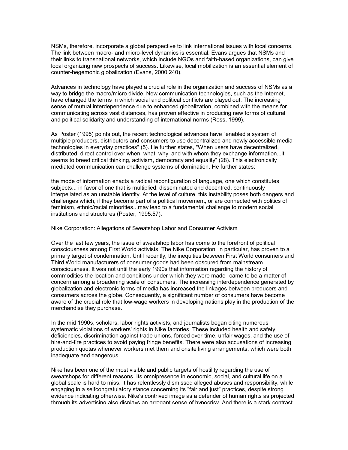NSMs, therefore, incorporate a global perspective to link international issues with local concerns. The link between macro- and micro-level dynamics is essential. Evans argues that NSMs and their links to transnational networks, which include NGOs and faith-based organizations, can give local organizing new prospects of success. Likewise, local mobilization is an essential element of counter-hegemonic globalization (Evans, 2000:240).

Advances in technology have played a crucial role in the organization and success of NSMs as a way to bridge the macro/micro divide. New communication technologies, such as the Internet, have changed the terms in which social and political conflicts are played out. The increasing sense of mutual interdependence due to enhanced globalization, combined with the means for communicating across vast distances, has proven effective in producing new forms of cultural and political solidarity and understanding of international norms (Ross, 1999).

As Poster (1995) points out, the recent technological advances have "enabled a system of multiple producers, distributors and consumers to use decentralized and newly accessible media technologies in everyday practices" (5). He further states, "When users have decentralized, distributed, direct control over when, what, why, and with whom they exchange information...it seems to breed critical thinking, activism, democracy and equality" (28). This electronically mediated communication can challenge systems of domination. He further states:

the mode of information enacts a radical reconfiguration of language, one which constitutes subjects... in favor of one that is multiplied, disseminated and decentred, continuously interpellated as an unstable identity. At the level of culture, this instability poses both dangers and challenges which, if they become part of a political movement, or are connected with politics of feminism, ethnic/racial minorities...may lead to a fundamental challenge to modern social institutions and structures (Poster, 1995:57).

#### Nike Corporation: Allegations of Sweatshop Labor and Consumer Activism

Over the last few years, the issue of sweatshop labor has come to the forefront of political consciousness among First World activists. The Nike Corporation, in particular, has proven to a primary target of condemnation. Until recently, the inequities between First World consumers and Third World manufacturers of consumer goods had been obscured from mainstream consciousness. It was not until the early 1990s that information regarding the history of commodities-the location and conditions under which they were made--came to be a matter of concern among a broadening scale of consumers. The increasing interdependence generated by globalization and electronic forms of media has increased the linkages between producers and consumers across the globe. Consequently, a significant number of consumers have become aware of the crucial role that low-wage workers in developing nations play in the production of the merchandise they purchase.

In the mid 1990s, scholars, labor rights activists, and journalists began citing numerous systematic violations of workers' rights in Nike factories. These included health and safety deficiencies, discrimination against trade unions, forced over-time, unfair wages, and the use of hire-and-fire practices to avoid paying fringe benefits. There were also accusations of increasing production quotas whenever workers met them and onsite living arrangements, which were both inadequate and dangerous.

Nike has been one of the most visible and public targets of hostility regarding the use of sweatshops for different reasons. Its omnipresence in economic, social, and cultural life on a global scale is hard to miss. It has relentlessly dismissed alleged abuses and responsibility, while engaging in a selfcongratulatory stance concerning its "fair and just" practices, despite strong evidence indicating otherwise. Nike's contrived image as a defender of human rights as projected through its advertising also displays an arrogant sense of hypocrisy. And there is a stark contrast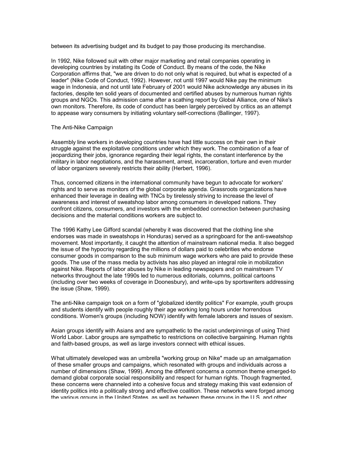between its advertising budget and its budget to pay those producing its merchandise.

In 1992, Nike followed suit with other major marketing and retail companies operating in developing countries by instating its Code of Conduct. By means of the code, the Nike Corporation affirms that, "we are driven to do not only what is required, but what is expected of a leader" (Nike Code of Conduct, 1992). However, not until 1997 would Nike pay the minimum wage in Indonesia, and not until late February of 2001 would Nike acknowledge any abuses in its factories, despite ten solid years of documented and certified abuses by numerous human rights groups and NGOs. This admission came after a scathing report by Global Alliance, one of Nike's own monitors. Therefore, its code of conduct has been largely perceived by critics as an attempt to appease wary consumers by initiating voluntary self-corrections (Ballinger, 1997).

#### The Anti-Nike Campaign

Assembly line workers in developing countries have had little success on their own in their struggle against the exploitative conditions under which they work. The combination of a fear of jeopardizing their jobs, ignorance regarding their legal rights, the constant interference by the military in labor negotiations, and the harassment, arrest, incarceration, torture and even murder of labor organizers severely restricts their ability (Herbert, 1996).

Thus, concerned citizens in the international community have begun to advocate for workers' rights and to serve as monitors of the global corporate agenda. Grassroots organizations have enhanced their leverage in dealing with TNCs by tirelessly striving to increase the level of awareness and interest of sweatshop labor among consumers in developed nations. They confront citizens, consumers, and investors with the embedded connection between purchasing decisions and the material conditions workers are subject to.

The 1996 Kathy Lee Gifford scandal (whereby it was discovered that the clothing line she endorses was made in sweatshops in Honduras) served as a springboard for the anti-sweatshop movement. Most importantly, it caught the attention of mainstream national media. It also begged the issue of the hypocrisy regarding the millions of dollars paid to celebrities who endorse consumer goods in comparison to the sub minimum wage workers who are paid to provide these goods. The use of the mass media by activists has also played an integral role in mobilization against Nike. Reports of labor abuses by Nike in leading newspapers and on mainstream TV networks throughout the late 1990s led to numerous editorials, columns, political cartoons (including over two weeks of coverage in Doonesbury), and write-ups by sportswriters addressing the issue (Shaw, 1999).

The anti-Nike campaign took on a form of "globalized identity politics" For example, youth groups and students identify with people roughly their age working long hours under horrendous conditions. Women's groups (including NOW) identify with female laborers and issues of sexism.

Asian groups identify with Asians and are sympathetic to the racist underpinnings of using Third World Labor. Labor groups are sympathetic to restrictions on collective bargaining. Human rights and faith-based groups, as well as large investors connect with ethical issues.

What ultimately developed was an umbrella "working group on Nike" made up an amalgamation of these smaller groups and campaigns, which resonated with groups and individuals across a number of dimensions (Shaw, 1999). Among the different concerns a common theme emerged-to demand global corporate social responsibility and respect for human rights. Though fragmented, these concerns were channeled into a cohesive focus and strategy making this vast extension of identity politics into a politically strong and effective coalition. These networks were forged among the various groups in the United States, as well as between these groups in the U.S. and other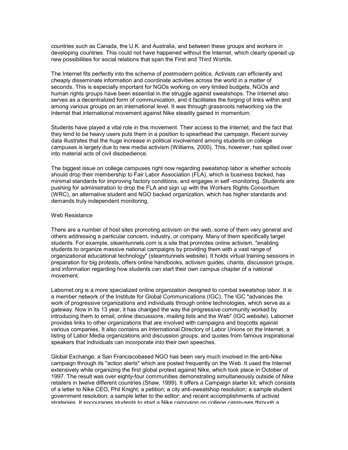countries such as Canada, the U.K. and Australia, and between these groups and workers in developing countries. This could not have happened without the Internet, which clearly opened up new possibilities for social relations that span the First and Third Worlds.

The Internet fits perfectly into the schema of postmodern politics. Activists can efficiently and cheaply disseminate information and coordinate activities across the world in a matter of seconds. This is especially important for NGOs working on very limited budgets. NGOs and human rights groups have been essential in the struggle against sweatshops. The Internet also serves as a decentralized form of communication, and it facilitates the forging of links within and among various groups on an international level. It was through grassroots networking via the Internet that international movement against Nike steadily gained in momentum.

Students have played a vital role in this movement. Their access to the Internet, and the fact that they tend to be heavy users puts them in a position to spearhead the campaign. Recent survey data illustrates that the huge increase in political involvement among students on college campuses is largely due to new media activism (Williams, 2000). This, however, has spilled over into material acts of civil disobedience.

The biggest issue on college campuses right now regarding sweatshop labor is whether schools should drop their membership to Fair Labor Association (FLA), which is business backed, has minimal standards for improving factory conditions, and engages in self -monitoring. Students are pushing for administration to drop the FLA and sign up with the Workers Rights Consortium (WRC), an alternative student and NGO backed organization, which has higher standards and demands truly independent monitoring.

#### Web Resistance

There are a number of host sites promoting activism on the web, some of them very general and others addressing a particular concern, industry, or company. Many of them specifically target students. For example, steamtunnels.com is a site that promotes online activism, "enabling students to organize massive national campaigns by providing them with a vast range of organizational educational technology" (steamtunnels website). It holds virtual training sessions in preparation for big protests, offers online handbooks, activism guides, chants, discussion groups, and information regarding how students can start their own campus chapter of a national movement.

Labornet.org is a more specialized online organization designed to combat sweatshop labor. It is a member network of the Institute for Global Communications (IGC). The IGC "advances the work of progressive organizations and individuals through online technologies, which serve as a gateway. Now in its 13 year, it has changed the way the progressive community worked by introducing them to email, online discussions, mailing lists and the Web" (IGC website). Labornet provides links to other organizations that are involved with campaigns and boycotts against various companies. It also contains an International Directory of Labor Unions on the Internet, a listing of Labor Media organizations and discussion groups, and quotes from famous inspirational speakers that individuals can incorporate into their own speeches.

Global Exchange, a San Franciscobased NGO has been very much involved in the anti-Nike campaign through its "action alerts" which are posted frequently on the Web. It used the Internet extensively while organizing the first global protest against Nike, which took place in October of 1997. The result was over eighty-four communities demonstrating simultaneously outside of Nike retailers in twelve different countries (Shaw, 1999). It offers a Campaign starter kit, which consists of a letter to Nike CEO, Phil Knight; a petition; a city anti-sweatshop resolution; a sample student government resolution; a sample letter to the editor; and recent accomplishments of activist strategies. It encourages students to start a Nike campaign on college campuses through a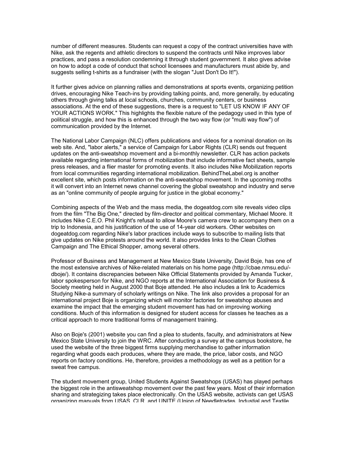number of different measures. Students can request a copy of the contract universities have with Nike, ask the regents and athletic directors to suspend the contracts until Nike improves labor practices, and pass a resolution condemning it through student government. It also gives advise on how to adopt a code of conduct that school licensees and manufacturers must abide by, and suggests selling t-shirts as a fundraiser (with the slogan "Just Don't Do It!").

It further gives advice on planning rallies and demonstrations at sports events, organizing petition drives, encouraging Nike Teach-ins by providing talking points, and, more generally, by educating others through giving talks at local schools, churches, community centers, or business associations. At the end of these suggestions, there is a request to "LET US KNOW IF ANY OF YOUR ACTIONS WORK." This highlights the flexible nature of the pedagogy used in this type of political struggle, and how this is enhanced through the two way flow (or "multi way flow") of communication provided by the Internet.

The National Labor Campaign (NLC) offers publications and videos for a nominal donation on its web site. And, "labor alerts," a service of Campaign for Labor Rights (CLR) sends out frequent updates on the anti-sweatshop movement and a bi-monthly newsletter. CLR has action packets available regarding international forms of mobilization that include informative fact sheets, sample press releases, and a flier master for promoting events. It also includes Nike Mobilization reports from local communities regarding international mobilization. BehindTheLabel.org is another excellent site, which posts information on the anti-sweatshop movement. In the upcoming moths it will convert into an Internet news channel covering the global sweatshop and industry and serve as an "online community of people arguing for justice in the global economy."

Combining aspects of the Web and the mass media, the dogeatdog.com site reveals video clips from the film "The Big One," directed by film-director and political commentary, Michael Moore. It includes Nike C.E.O. Phil Knight's refusal to allow Moore's camera crew to accompany them on a trip to Indonesia, and his justification of the use of 14-year old workers. Other websites on dogeatdog.com regarding Nike's labor practices include ways to subscribe to mailing lists that give updates on Nike protests around the world. It also provides links to the Clean Clothes Campaign and The Ethical Shopper, among several others.

Professor of Business and Management at New Mexico State University, David Boje, has one of the most extensive archives of Nike-related materials on his home page (http://cbae.nmsu.edu/ dboje/). It contains discrepancies between Nike Official Statements provided by Amanda Tucker, labor spokesperson for Nike, and NGO reports at the International Association for Business & Society meeting held in August 2000 that Boje attended. He also includes a link to Academics Studying Nike-a summary of scholarly writings on Nike. The link also provides a proposal for an international project Boje is organizing which will monitor factories for sweatshop abuses and examine the impact that the emerging student movement has had on improving working conditions. Much of this information is designed for student access for classes he teaches as a critical approach to more traditional forms of management training.

Also on Boje's (2001) website you can find a plea to students, faculty, and administrators at New Mexico State University to join the WRC. After conducting a survey at the campus bookstore, he used the website of the three biggest firms supplying merchandise to gather information regarding what goods each produces, where they are made, the price, labor costs, and NGO reports on factory conditions. He, therefore, provides a methodology as well as a petition for a sweat free campus.

The student movement group, United Students Against Sweatshops (USAS) has played perhaps the biggest role in the antisweatshop movement over the past few years. Most of their information sharing and strategizing takes place electronically. On the USAS website, activists can get USAS organizing manuals from USAS, CLR, and UNITE (Union of Needletrades, Industial and Textile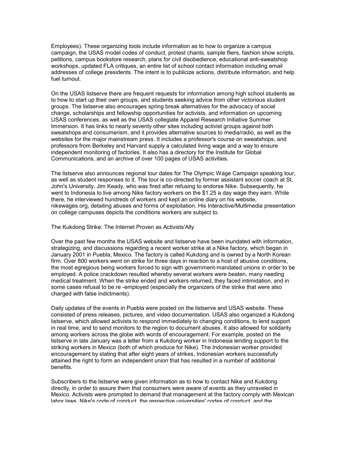Employees). These organizing tools include information as to how to organize a campus campaign, the USAS model codes of conduct, protest chants, sample fliers, fashion show scripts, petitions, campus bookstore research, plans for civil disobedience, educational anti-sweatshop workshops, updated FLA critiques, an entire list of school contact information including email addresses of college presidents. The intent is to publicize actions, distribute information, and help fuel turnout.

On the USAS listserve there are frequent requests for information among high school students as to how to start up their own groups, and students seeking advice from other victorious student groups. The listserve also encourages spring break alternatives for the advocacy of social change, scholarships and fellowship opportunities for activists, and information on upcoming USAS conferences, as well as the USAS collegiate Apparel Research Initiative Summer Immersion. It has links to nearly seventy other sites including activist groups against both sweatshops and consumerism, and it provides alternative sources to media/radio, as well as the websites for the major mainstream press. It includes a professor's course on sweatshops, and professors from Berkeley and Harvard supply a calculated living wage and a way to ensure independent monitoring of factories. It also has a directory for the Institute for Global Communications, and an archive of over 100 pages of USAS activities.

The listserve also announces regional tour dates for The Olympic Wage Campaign speaking tour, as well as student responses to it. The tour is co-directed by former assistant soccer coach at St. John's University, Jim Keady, who was fired after refusing to endorse Nike. Subsequently, he went to Indonesia to live among Nike factory workers on the \$1.25 a day wage they earn. While there, he interviewed hundreds of workers and kept an online diary on his website, nikewages.org, detailing abuses and forms of exploitation. His Interactive/Multimedia presentation on college campuses depicts the conditions workers are subject to.

#### The Kukdong Strike: The Internet Proven as Activists'Ally

Over the past few months the USAS website and listserve have been inundated with information, strategizing, and discussions regarding a recent worker strike at a Nike factory, which began in January 2001 in Puebla, Mexico. The factory is called Kukdong and is owned by a North Korean firm. Over 800 workers went on strike for three days in reaction to a host of abusive conditions, the most egregious being workers forced to sign with government-mandated unions in order to be employed. A police crackdown resulted whereby several workers were beaten, many needing medical treatment. When the strike ended and workers returned, they faced intimidation, and in some cases refusal to be re -employed (especially the organizers of the strike that were also charged with false indictments).

Daily updates of the events in Puebla were posted on the listserve and USAS website. These consisted of press releases, pictures, and video documentation. USAS also organized a Kukdong listserve, which allowed activists to respond immediately to changing conditions, to lend support in real time, and to send monitors to the region to document abuses. It also allowed for solidarity among workers across the globe with words of encouragement. For example, posted on the listserve in late January was a letter from a Kukdong worker in Indonesia lending support to the striking workers in Mexico (both of which produce for Nike). The Indonesian worker provided encouragement by stating that after eight years of strikes, Indonesian workers successfully attained the right to form an independent union that has resulted in a number of additional benefits.

Subscribers to the listserve were given information as to how to contact Nike and Kukdong directly, in order to assure them that consumers were aware of events as they unraveled in Mexico. Activists were prompted to demand that management at the factory comply with Mexican labor laws, Nike's code of conduct, the respective universities' codes of conduct, and the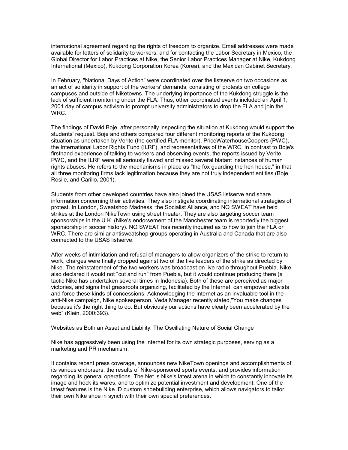international agreement regarding the rights of freedom to organize. Email addresses were made available for letters of solidarity to workers, and for contacting the Labor Secretary in Mexico, the Global Director for Labor Practices at Nike, the Senior Labor Practices Manager at Nike, Kukdong International (Mexico), Kukdong Corporation Korea (Korea), and the Mexican Cabinet Secretary.

In February, "National Days of Action" were coordinated over the listserve on two occasions as an act of solidarity in support of the workers' demands, consisting of protests on college campuses and outside of Niketowns. The underlying importance of the Kukdong struggle is the lack of sufficient monitoring under the FLA. Thus, other coordinated events included an April 1, 2001 day of campus activism to prompt university administrators to drop the FLA and join the WRC.

The findings of David Boje, after personally inspecting the situation at Kukdong would support the students' request. Boje and others compared four different monitoring reports of the Kukdong situation as undertaken by Verite (the certified FLA monitor), PriceWaterhouseCoopers (PWC), the International Labor Rights Fund (ILRF), and representatives of the WRC. In contrast to Boje's firsthand experience of talking to workers and observing events, the reports issued by Verite, PWC, and the ILRF were all seriously flawed and missed several blatant instances of human rights abuses. He refers to the mechanisms in place as "the fox guarding the hen house," in that all three monitoring firms lack legitimation because they are not truly independent entities (Boje, Rosile, and Carillo, 2001).

Students from other developed countries have also joined the USAS listserve and share information concerning their activities. They also instigate coordinating international strategies of protest. In London, Sweatshop Madness, the Socialist Alliance, and NO SWEAT have held strikes at the London NikeTown using street theater. They are also targeting soccer team sponsorships in the U.K. (Nike's endorsement of the Manchester team is reportedly the biggest sponsorship in soccer history). NO SWEAT has recently inquired as to how to join the FLA or WRC. There are similar antisweatshop groups operating in Australia and Canada that are also connected to the USAS listserve.

After weeks of intimidation and refusal of managers to allow organizers of the strike to return to work, charges were finally dropped against two of the five leaders of the strike as directed by Nike. The reinstatement of the two workers was broadcast on live radio throughout Puebla. Nike also declared it would not "cut and run" from Puebla, but it would continue producing there (a tactic Nike has undertaken several times in Indonesia). Both of these are perceived as major victories, and signs that grassroots organizing, facilitated by the Internet, can empower activists and force these kinds of concessions. Acknowledging the Internet as an invaluable tool in the anti-Nike campaign, Nike spokesperson, Veda Manager recently stated,"You make changes because it's the right thing to do. But obviously our actions have clearly been accelerated by the web" (Klein, 2000:393).

Websites as Both an Asset and Liability: The Oscillating Nature of Social Change

Nike has aggressively been using the Internet for its own strategic purposes, serving as a marketing and PR mechanism.

It contains recent press coverage, announces new NikeTown openings and accomplishments of its various endorsers, the results of Nike-sponsored sports events, and provides information regarding its general operations. The Net is Nike's latest arena in which to constantly innovate its image and hock its wares, and to optimize potential investment and development. One of the latest features is the Nike ID custom shoebuilding enterprise, which allows navigators to tailor their own Nike shoe in synch with their own special preferences.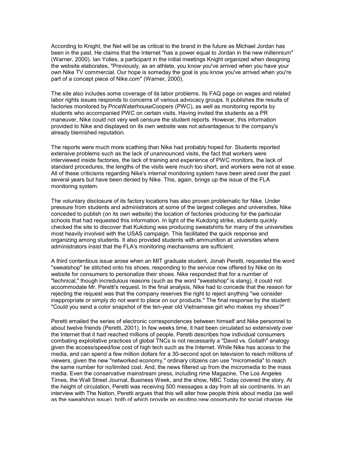According to Knight, the Net will be as critical to the brand in the future as Michael Jordan has been in the past. He claims that the Internet "has a power equal to Jordan in the new millennium" (Warner, 2000). Ian Yolles, a participant in the initial meetings Knight organized when designing the website elaborates, "Previously, as an athlete, you know you've arrived when you have your own Nike TV commercial. Our hope is someday the goal is you know you've arrived when you're part of a concept piece of Nike.com" (Warner, 2000).

The site also includes some coverage of its labor problems. Its FAQ page on wages and related labor rights issues responds to concerns of various advocacy groups. It publishes the results of factories monitored by PriceWaterhouseCoopers (PWC), as well as monitoring reports by students who accompanied PWC on certain visits. Having invited the students as a PR maneuver, Nike could not very well censure the student reports. However, this information provided to Nike and displayed on its own website was not advantageous to the company's already blemished reputation.

The reports were much more scathing than Nike had probably hoped for. Students reported extensive problems such as the lack of unannounced visits, the fact that workers were interviewed inside factories, the lack of training and experience of PWC monitors, the lack of standard procedures, the lengths of the visits were much too short, and workers were not at ease. All of these criticisms regarding Nike's internal monitoring system have been aired over the past several years but have been denied by Nike. This, again, brings up the issue of the FLA monitoring system.

The voluntary disclosure of its factory locations has also proven problematic for Nike. Under pressure from students and administrators at some of the largest colleges and universities, Nike conceded to publish (on its own website) the location of factories producing for the particular schools that had requested this information. In light of the Kukdong strike, students quickly checked the site to discover that Kukdong was producing sweatshirts for many of the universities most heavily involved with the USAS campaign. This facilitated the quick response and organizing among students. It also provided students with ammunition at universities where administrators insist that the FLA's monitoring mechanisms are sufficient.

A third contentious issue arose when an MIT graduate student, Jonah Peretti, requested the word "sweatshop" be stitched onto his shoes, responding to the service now offered by Nike on its website for consumers to personalize their shoes. Nike responded that for a number of "technical," though incredulous reasons (such as the word "sweatshop" is slang), it could not accommodate Mr. Peretti's request. In the final analysis, Nike had to concede that the reason for rejecting the request was that the company reserves the right to reject anything "we consider inappropriate or simply do not want to place on our products." The final response by the student: "Could you send a color snapshot of the ten-year old Vietnamese girl who makes my shoes?"

Peretti emailed the series of electronic correspondences between himself and Nike personnel to about twelve friends (Peretti, 2001). In few weeks time, it had been circulated so extensively over the Internet that it had reached millions of people. Peretti describes how individual consumers combating exploitative practices of global TNCs is not necessarily a "David vs. Goliath" analogy given the access/speed/low cost of high tech such as the Internet. While Nike has access to the media, and can spend a few million dollars for a 30-second spot on television to reach millions of viewers, given the new "networked economy," ordinary citizens can use "micromedia" to reach the same number for no/limited cost. And, the news filtered up from the micromedia to the mass media. Even the conservative mainstream press, including rime Magazine, The Los Angeles Times, the Wall Street Journal, Business Week, and the show, NBC Today covered the story. At the height of circulation, Peretti was receiving 500 messages a day from all six continents. In an interview with The Nation, Peretti argues that this will alter how people think about media (as well as the sweatshop issue), both of which provide an exciting new opportunity for social change. He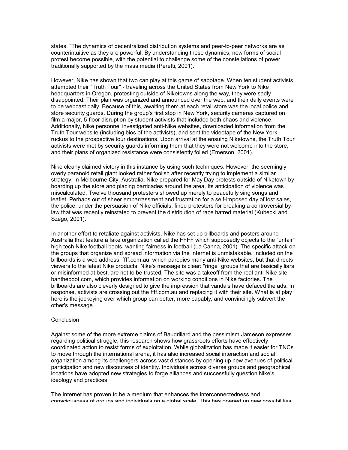states, "The dynamics of decentralized distribution systems and peer-to-peer networks are as counterintuitive as they are powerful. By understanding these dynamics, new forms of social protest become possible, with the potential to challenge some of the constellations of power traditionally supported by the mass media (Peretti, 2001).

However, Nike has shown that two can play at this game of sabotage. When ten student activists attempted their "Truth Tour" - traveling across the United States from New York to Nike headquarters in Oregon, protesting outside of Niketowns along the way, they were sadly disappointed. Their plan was organized and announced over the web, and their daily events were to be webcast daily. Because of this, awaiting them at each retail store was the local police and store security guards. During the group's first stop in New York, security cameras captured on film a major, 5-floor disruption by student activists that included both chaos and violence. Additionally, Nike personnel investigated anti-Nike websites, downloaded information from the Truth Tour website (including bios of the activists), and sent the videotape of the New York ruckus to the prospective tour destinations. Upon arrival at the ensuing Niketowns, the Truth Tour activists were met by security guards informing them that they were not welcome into the store, and their plans of organized resistance were consistently foiled (Emerson, 2001).

Nike clearly claimed victory in this instance by using such techniques. However, the seemingly overly paranoid retail giant looked rather foolish after recently trying to implement a similar strategy. In Melbourne City, Australia, Nike prepared for May Day protests outside of Niketown by boarding up the store and placing barricades around the area. Its anticipation of violence was miscalculated. Twelve thousand protesters showed up merely to peacefully sing songs and leaflet. Perhaps out of sheer embarrassment and frustration for a self-imposed day of lost sales, the police, under the persuasion of Nike officials, fined protesters for breaking a controversial bylaw that was recently reinstated to prevent the distribution of race hatred material (Kubecki and Szego, 2001).

In another effort to retaliate against activists, Nike has set up billboards and posters around Australia that feature a fake organization called the FFFF which supposedly objects to the "unfair" high tech Nike football boots, wanting fairness in football (La Canna, 2001). The specific attack on the groups that organize and spread information via the Internet is unmistakable. Included on the billboards is a web address, ffff.com.au, which parodies many anti-Nike websites, but that directs viewers to the latest Nike products. Nike's message is clear: "ringe" groups that are basically liars or misinformed at best, are not to be trusted. The site was a takeoff from the real anti-Nike site, bantheboot.com, which provides information on working conditions in Nike factories. The billboards are also cleverly designed to give the impression that vandals have defaced the ads. In response, activists are crossing out the ffff.com.au and replacing it with their site. What is at play here is the jockeying over which group can better, more capably, and convincingly subvert the other's message.

#### **Conclusion**

Against some of the more extreme claims of Baudrillard and the pessimism Jameson expresses regarding political struggle, this research shows how grassroots efforts have effectively coordinated action to resist forms of exploitation. While globalization has made it easier for TNCs to move through the international arena, it has also increased social interaction and social organization among its challengers across vast distances by opening up new avenues of political participation and new discourses of identity. Individuals across diverse groups and geographical locations have adopted new strategies to forge alliances and successfully question Nike's ideology and practices.

The Internet has proven to be a medium that enhances the interconnectedness and consciousness of groups and individuals on a global scale. This has opened up new possibilities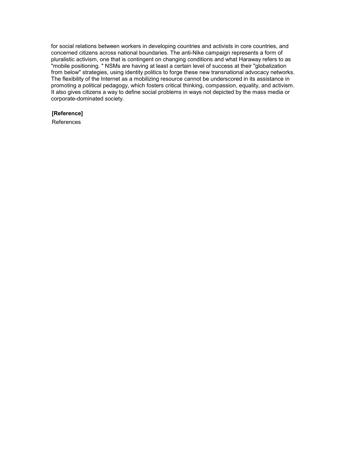for social relations between workers in developing countries and activists in core countries, and concerned citizens across national boundaries. The anti-Nike campaign represents a form of pluralistic activism, one that is contingent on changing conditions and what Haraway refers to as "mobile positioning. " NSMs are having at least a certain level of success at their "globalization from below" strategies, using identity politics to forge these new transnational advocacy networks. The flexibility of the Internet as a mobilizing resource cannot be underscored in its assistance in promoting a political pedagogy, which fosters critical thinking, compassion, equality, and activism. It also gives citizens a way to define social problems in ways not depicted by the mass media or corporate-dominated society.

#### **[Reference]**

References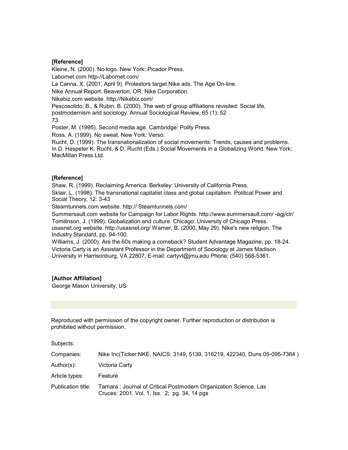#### **[Reference]**

Kleine, N. (2000). No logo. New York: Picador Press. Labornet.com http-//Labornet.com/ La Canna, X. (2001, April 9). Protestors target Nike ads. The Age On-line. Nike Annual Report. Beaverton, OR: Nike Corporation. Nikebiz.com website. http://Nikebiz.com/ Pescosolido, B., & Rubin, B. (2000). The web of group affiliations revisited: Social life, postmodernism and sociology. Annual Sociological Review, 65 (1): 52

73.

Poster, M. (1995). Second media age. Cambridge: Polity Press.

Ross, A. (1999). No sweat. New York: Verso.

Rucht, D. (1999). The transnationalization of social movements: Trends, causes and problems. In D. Haspeter K. Rucht, & D. Rucht (Eds.) Social Movements in a Globalizing World. New York: MacMillan Press Ltd.

#### **[Reference]**

Shaw, R. (1999). Reclaiming America. Berkeley: University of California Press. Sklair, L. (1998). The transnational capitalist class and global capitalism. Political Power and Social Theory, 12: 3-43

Steamtunnels.com website. http:// Steamtunnels.com/

Summersault.com website for Campaign for Labor Rights. http://www.summersault.com/ -agj/clr/ Tomilinson, J. (1999). Globalization and culture. Chicago: University of Chicago Press. usasnet.org website. http://usasnet.org/ Warner, B. (2000, May 29). Nike's new religion. The Industry Standard, pp. 94-100.

Williams, J. (2000). Are the 60s making a comeback? Student Advantage Magazine, pp. 18-24. Victoria Carty is an Assistant Professor in the Department of Sociology at James Madison University in Harrisonburg, VA 22807. E-mail: cartyvl@jmu,edu Phone: (540) 568-5361.

#### **[Author Affiliation]**

George Mason University, US

Reproduced with permission of the copyright owner. Further reproduction or distribution is prohibited without permission.

Subjects:

| Companies:         | Nike Inc(Ticker:NKE, NAICS: 3149, 5139, 316219, 422340, Duns:05-095-7364)                                         |
|--------------------|-------------------------------------------------------------------------------------------------------------------|
| Author(s):         | Victoria Carty                                                                                                    |
| Article types:     | Feature                                                                                                           |
| Publication title: | Tamara: Journal of Critical Postmodern Organization Science. Las<br>Cruces: 2001. Vol. 1, Iss. 2; pg. 34, 14 pgs. |